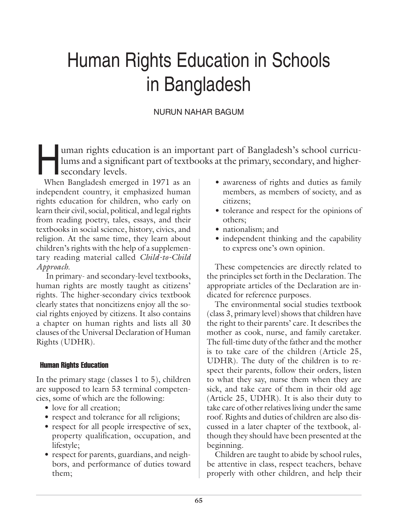# Human Rights Education in Schools in Bangladesh

# NURUN NAHAR BAGUM

uman rights education is an important part of Bangladesh's school curricu-<br>lums and a significant part of textbooks at the primary, secondary, and higher-<br>secondary levels. lums and a significant part of textbooks at the primary, secondary, and highersecondary levels.

When Bangladesh emerged in 1971 as an independent country, it emphasized human rights education for children, who early on learn their civil, social, political, and legal rights from reading poetry, tales, essays, and their textbooks in social science, history, civics, and religion. At the same time, they learn about children's rights with the help of a supplementary reading material called *Child-to-Child Approach*.

 In primary- and secondary-level textbooks, human rights are mostly taught as citizens' rights. The higher-secondary civics textbook clearly states that noncitizens enjoy all the social rights enjoyed by citizens. It also contains a chapter on human rights and lists all 30 clauses of the Universal Declaration of Human Rights (UDHR).

## Human Rights Education

In the primary stage (classes  $1$  to  $5$ ), children are supposed to learn 53 terminal competencies, some of which are the following:

- love for all creation;
- respect and tolerance for all religions;
- respect for all people irrespective of sex, property qualification, occupation, and lifestyle;
- respect for parents, guardians, and neighbors, and performance of duties toward them;
- awareness of rights and duties as family members, as members of society, and as citizens;
- tolerance and respect for the opinions of others;
- nationalism; and
- independent thinking and the capability to express one's own opinion.

These competencies are directly related to the principles set forth in the Declaration. The appropriate articles of the Declaration are indicated for reference purposes.

The environmental social studies textbook (class 3, primary level) shows that children have the right to their parents' care. It describes the mother as cook, nurse, and family caretaker. The full-time duty of the father and the mother is to take care of the children (Article 25, UDHR). The duty of the children is to respect their parents, follow their orders, listen to what they say, nurse them when they are sick, and take care of them in their old age (Article 25, UDHR). It is also their duty to take care of other relatives living under the same roof. Rights and duties of children are also discussed in a later chapter of the textbook, although they should have been presented at the beginning.

Children are taught to abide by school rules, be attentive in class, respect teachers, behave properly with other children, and help their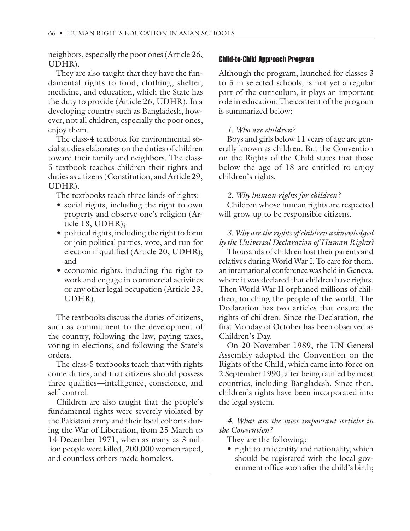neighbors, especially the poor ones (Article 26, UDHR).

They are also taught that they have the fundamental rights to food, clothing, shelter, medicine, and education, which the State has the duty to provide (Article 26, UDHR). In a developing country such as Bangladesh, however, not all children, especially the poor ones, enjoy them.

The class-4 textbook for environmental social studies elaborates on the duties of children toward their family and neighbors. The class-5 textbook teaches children their rights and duties as citizens (Constitution, and Article 29, UDHR).

The textbooks teach three kinds of rights:

- social rights, including the right to own property and observe one's religion (Article 18, UDHR);
- political rights, including the right to form or join political parties, vote, and run for election if qualified (Article 20, UDHR); and
- economic rights, including the right to work and engage in commercial activities or any other legal occupation (Article 23, UDHR).

The textbooks discuss the duties of citizens, such as commitment to the development of the country, following the law, paying taxes, voting in elections, and following the State's orders.

The class-5 textbooks teach that with rights come duties, and that citizens should possess three qualities—intelligence, conscience, and self-control.

Children are also taught that the people's fundamental rights were severely violated by the Pakistani army and their local cohorts during the War of Liberation, from 25 March to 14 December 1971, when as many as 3 million people were killed, 200,000 women raped, and countless others made homeless.

#### Child-to-Child Approach Program

Although the program, launched for classes 3 to 5 in selected schools, is not yet a regular part of the curriculum, it plays an important role in education. The content of the program is summarized below:

## *1. Who are children?*

Boys and girls below 11 years of age are generally known as children. But the Convention on the Rights of the Child states that those below the age of 18 are entitled to enjoy children's rights.

#### *2. Why human rights for children?*

Children whose human rights are respected will grow up to be responsible citizens.

## *3. Why are the rights of children acknowledged by the Universal Declaration of Human Rights?*

Thousands of children lost their parents and relatives during World War I. To care for them, an international conference was held in Geneva, where it was declared that children have rights. Then World War II orphaned millions of children, touching the people of the world. The Declaration has two articles that ensure the rights of children. Since the Declaration, the first Monday of October has been observed as Children's Day.

On 20 November 1989, the UN General Assembly adopted the Convention on the Rights of the Child, which came into force on 2 September 1990, after being ratified by most countries, including Bangladesh. Since then, children's rights have been incorporated into the legal system.

*4. What are the most important articles in the Convention?*

They are the following:

• right to an identity and nationality, which should be registered with the local government office soon after the child's birth;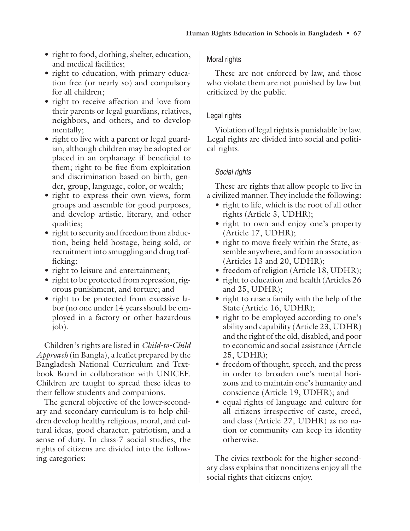- right to food, clothing, shelter, education, and medical facilities;
- right to education, with primary education free (or nearly so) and compulsory for all children;
- right to receive affection and love from their parents or legal guardians, relatives, neighbors, and others, and to develop mentally;
- right to live with a parent or legal guardian, although children may be adopted or placed in an orphanage if beneficial to them; right to be free from exploitation and discrimination based on birth, gender, group, language, color, or wealth;
- right to express their own views, form groups and assemble for good purposes, and develop artistic, literary, and other qualities;
- right to security and freedom from abduction, being held hostage, being sold, or recruitment into smuggling and drug trafficking;
- right to leisure and entertainment;
- right to be protected from repression, rigorous punishment, and torture; and
- right to be protected from excessive labor (no one under 14 years should be employed in a factory or other hazardous job).

Children's rights are listed in *Child-to-Child Approach* (in Bangla), a leaflet prepared by the Bangladesh National Curriculum and Textbook Board in collaboration with UNICEF. Children are taught to spread these ideas to their fellow students and companions.

The general objective of the lower-secondary and secondary curriculum is to help children develop healthy religious, moral, and cultural ideas, good character, patriotism, and a sense of duty. In class-7 social studies, the rights of citizens are divided into the following categories:

## Moral rights

These are not enforced by law, and those who violate them are not punished by law but criticized by the public.

# Legal rights

Violation of legal rights is punishable by law. Legal rights are divided into social and political rights.

# Social rights

These are rights that allow people to live in a civilized manner. They include the following:

- right to life, which is the root of all other rights (Article 3, UDHR);
- right to own and enjoy one's property (Article 17, UDHR);
- right to move freely within the State, assemble anywhere, and form an association (Articles 13 and 20, UDHR);
- freedom of religion (Article 18, UDHR);
- right to education and health (Articles 26 and  $25$ , UDHR);
- right to raise a family with the help of the State (Article 16, UDHR);
- right to be employed according to one's ability and capability (Article 23, UDHR) and the right of the old, disabled, and poor to economic and social assistance (Article 25, UDHR);
- freedom of thought, speech, and the press in order to broaden one's mental horizons and to maintain one's humanity and conscience (Article 19, UDHR); and
- equal rights of language and culture for all citizens irrespective of caste, creed, and class (Article 27, UDHR) as no nation or community can keep its identity otherwise.

The civics textbook for the higher-secondary class explains that noncitizens enjoy all the social rights that citizens enjoy.